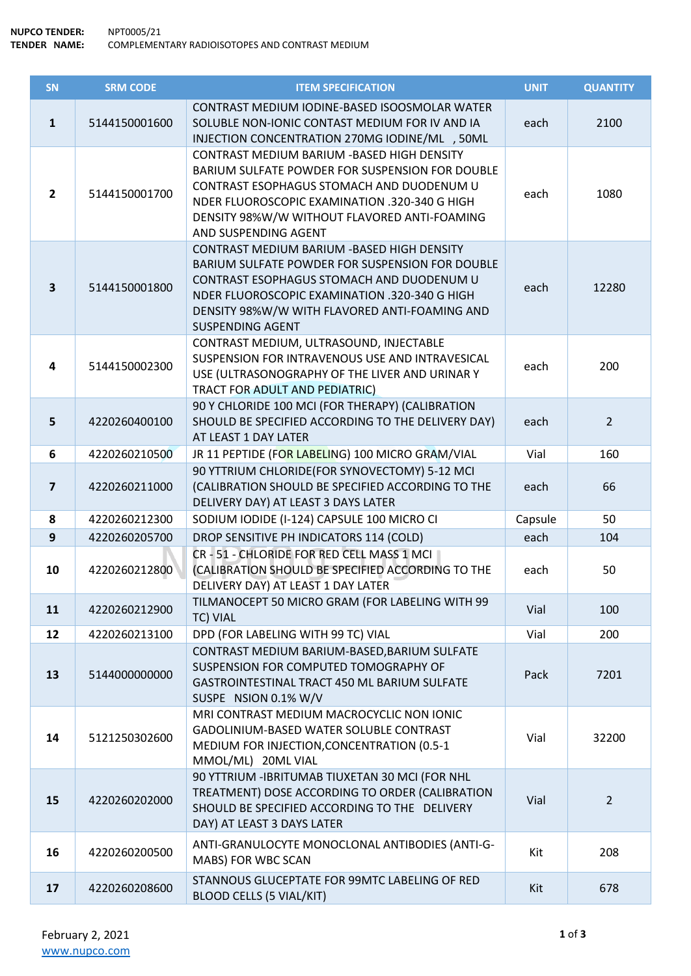| SN                      | <b>SRM CODE</b> | <b>ITEM SPECIFICATION</b>                                                                                                                                                                                                                                                | <b>UNIT</b> | <b>QUANTITY</b> |
|-------------------------|-----------------|--------------------------------------------------------------------------------------------------------------------------------------------------------------------------------------------------------------------------------------------------------------------------|-------------|-----------------|
| $\mathbf{1}$            | 5144150001600   | CONTRAST MEDIUM IODINE-BASED ISOOSMOLAR WATER<br>SOLUBLE NON-IONIC CONTAST MEDIUM FOR IV AND IA<br>INJECTION CONCENTRATION 270MG IODINE/ML , 50ML                                                                                                                        | each        | 2100            |
| $\overline{2}$          | 5144150001700   | CONTRAST MEDIUM BARIUM - BASED HIGH DENSITY<br>BARIUM SULFATE POWDER FOR SUSPENSION FOR DOUBLE<br>CONTRAST ESOPHAGUS STOMACH AND DUODENUM U<br>NDER FLUOROSCOPIC EXAMINATION .320-340 G HIGH<br>DENSITY 98%W/W WITHOUT FLAVORED ANTI-FOAMING<br>AND SUSPENDING AGENT     | each        | 1080            |
| $\overline{\mathbf{3}}$ | 5144150001800   | CONTRAST MEDIUM BARIUM - BASED HIGH DENSITY<br>BARIUM SULFATE POWDER FOR SUSPENSION FOR DOUBLE<br>CONTRAST ESOPHAGUS STOMACH AND DUODENUM U<br>NDER FLUOROSCOPIC EXAMINATION .320-340 G HIGH<br>DENSITY 98%W/W WITH FLAVORED ANTI-FOAMING AND<br><b>SUSPENDING AGENT</b> | each        | 12280           |
| 4                       | 5144150002300   | CONTRAST MEDIUM, ULTRASOUND, INJECTABLE<br>SUSPENSION FOR INTRAVENOUS USE AND INTRAVESICAL<br>USE (ULTRASONOGRAPHY OF THE LIVER AND URINAR Y<br>TRACT FOR ADULT AND PEDIATRIC)                                                                                           | each        | 200             |
| 5                       | 4220260400100   | 90 Y CHLORIDE 100 MCI (FOR THERAPY) (CALIBRATION<br>SHOULD BE SPECIFIED ACCORDING TO THE DELIVERY DAY)<br>AT LEAST 1 DAY LATER                                                                                                                                           | each        | $2^{\circ}$     |
| 6                       | 4220260210500   | JR 11 PEPTIDE (FOR LABELING) 100 MICRO GRAM/VIAL                                                                                                                                                                                                                         | Vial        | 160             |
| $\overline{7}$          | 4220260211000   | 90 YTTRIUM CHLORIDE(FOR SYNOVECTOMY) 5-12 MCI<br>(CALIBRATION SHOULD BE SPECIFIED ACCORDING TO THE<br>DELIVERY DAY) AT LEAST 3 DAYS LATER                                                                                                                                | each        | 66              |
| 8                       | 4220260212300   | SODIUM IODIDE (I-124) CAPSULE 100 MICRO CI                                                                                                                                                                                                                               | Capsule     | 50              |
| 9                       | 4220260205700   | DROP SENSITIVE PH INDICATORS 114 (COLD)                                                                                                                                                                                                                                  | each        | 104             |
| 10                      | 4220260212800   | CR - 51 - CHLORIDE FOR RED CELL MASS 1 MCI<br>(CALIBRATION SHOULD BE SPECIFIED ACCORDING TO THE<br>DELIVERY DAY) AT LEAST 1 DAY LATER                                                                                                                                    | each        | 50              |
| 11                      | 4220260212900   | TILMANOCEPT 50 MICRO GRAM (FOR LABELING WITH 99<br>TC) VIAL                                                                                                                                                                                                              | Vial        | 100             |
| 12                      | 4220260213100   | DPD (FOR LABELING WITH 99 TC) VIAL                                                                                                                                                                                                                                       | Vial        | 200             |
| 13                      | 5144000000000   | CONTRAST MEDIUM BARIUM-BASED, BARIUM SULFATE<br>SUSPENSION FOR COMPUTED TOMOGRAPHY OF<br>GASTROINTESTINAL TRACT 450 ML BARIUM SULFATE<br>SUSPE NSION 0.1% W/V                                                                                                            | Pack        | 7201            |
| 14                      | 5121250302600   | MRI CONTRAST MEDIUM MACROCYCLIC NON IONIC<br>GADOLINIUM-BASED WATER SOLUBLE CONTRAST<br>MEDIUM FOR INJECTION, CONCENTRATION (0.5-1<br>MMOL/ML) 20ML VIAL                                                                                                                 | Vial        | 32200           |
| 15                      | 4220260202000   | 90 YTTRIUM - IBRITUMAB TIUXETAN 30 MCI (FOR NHL<br>TREATMENT) DOSE ACCORDING TO ORDER (CALIBRATION<br>SHOULD BE SPECIFIED ACCORDING TO THE DELIVERY<br>DAY) AT LEAST 3 DAYS LATER                                                                                        | Vial        | $2^{\circ}$     |
| 16                      | 4220260200500   | ANTI-GRANULOCYTE MONOCLONAL ANTIBODIES (ANTI-G-<br>MABS) FOR WBC SCAN                                                                                                                                                                                                    | Kit         | 208             |
| 17                      | 4220260208600   | STANNOUS GLUCEPTATE FOR 99MTC LABELING OF RED<br><b>BLOOD CELLS (5 VIAL/KIT)</b>                                                                                                                                                                                         | Kit         | 678             |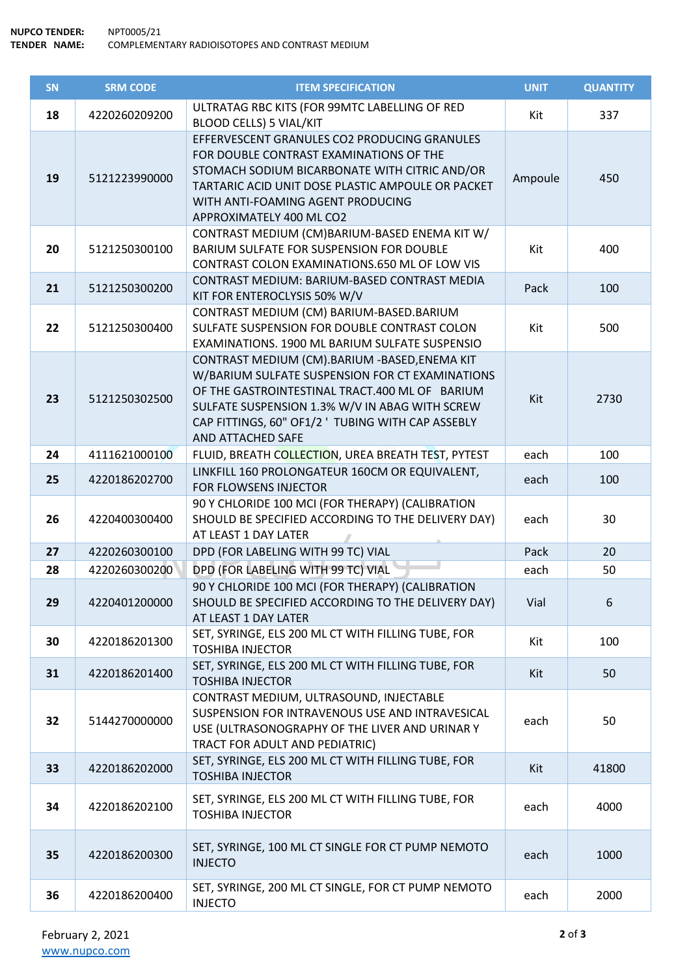| SN | <b>SRM CODE</b> | <b>ITEM SPECIFICATION</b>                                                                                                                                                                                                                                                      | <b>UNIT</b> | <b>QUANTITY</b> |
|----|-----------------|--------------------------------------------------------------------------------------------------------------------------------------------------------------------------------------------------------------------------------------------------------------------------------|-------------|-----------------|
| 18 | 4220260209200   | ULTRATAG RBC KITS (FOR 99MTC LABELLING OF RED<br><b>BLOOD CELLS) 5 VIAL/KIT</b>                                                                                                                                                                                                | Kit         | 337             |
| 19 | 5121223990000   | EFFERVESCENT GRANULES CO2 PRODUCING GRANULES<br>FOR DOUBLE CONTRAST EXAMINATIONS OF THE<br>STOMACH SODIUM BICARBONATE WITH CITRIC AND/OR<br>TARTARIC ACID UNIT DOSE PLASTIC AMPOULE OR PACKET<br>WITH ANTI-FOAMING AGENT PRODUCING<br>APPROXIMATELY 400 ML CO2                 | Ampoule     | 450             |
| 20 | 5121250300100   | CONTRAST MEDIUM (CM)BARIUM-BASED ENEMA KIT W/<br>BARIUM SULFATE FOR SUSPENSION FOR DOUBLE<br>CONTRAST COLON EXAMINATIONS.650 ML OF LOW VIS                                                                                                                                     | Kit         | 400             |
| 21 | 5121250300200   | CONTRAST MEDIUM: BARIUM-BASED CONTRAST MEDIA<br>KIT FOR ENTEROCLYSIS 50% W/V                                                                                                                                                                                                   | Pack        | 100             |
| 22 | 5121250300400   | CONTRAST MEDIUM (CM) BARIUM-BASED.BARIUM<br>SULFATE SUSPENSION FOR DOUBLE CONTRAST COLON<br>EXAMINATIONS. 1900 ML BARIUM SULFATE SUSPENSIO                                                                                                                                     | Kit         | 500             |
| 23 | 5121250302500   | CONTRAST MEDIUM (CM).BARIUM -BASED, ENEMA KIT<br>W/BARIUM SULFATE SUSPENSION FOR CT EXAMINATIONS<br>OF THE GASTROINTESTINAL TRACT.400 ML OF BARIUM<br>SULFATE SUSPENSION 1.3% W/V IN ABAG WITH SCREW<br>CAP FITTINGS, 60" OF1/2 ' TUBING WITH CAP ASSEBLY<br>AND ATTACHED SAFE | Kit         | 2730            |
| 24 | 4111621000100   | FLUID, BREATH COLLECTION, UREA BREATH TEST, PYTEST                                                                                                                                                                                                                             | each        | 100             |
| 25 | 4220186202700   | LINKFILL 160 PROLONGATEUR 160CM OR EQUIVALENT,<br>FOR FLOWSENS INJECTOR                                                                                                                                                                                                        | each        | 100             |
| 26 | 4220400300400   | 90 Y CHLORIDE 100 MCI (FOR THERAPY) (CALIBRATION<br>SHOULD BE SPECIFIED ACCORDING TO THE DELIVERY DAY)<br>AT LEAST 1 DAY LATER                                                                                                                                                 | each        | 30              |
| 27 | 4220260300100   | DPD (FOR LABELING WITH 99 TC) VIAL                                                                                                                                                                                                                                             | Pack        | 20              |
| 28 | 4220260300200   | DPD (FOR LABELING WITH 99 TC) VIAL                                                                                                                                                                                                                                             | each        | 50              |
| 29 | 4220401200000   | 90 Y CHLORIDE 100 MCI (FOR THERAPY) (CALIBRATION<br>SHOULD BE SPECIFIED ACCORDING TO THE DELIVERY DAY)<br>AT LEAST 1 DAY LATER                                                                                                                                                 | Vial        | 6               |
| 30 | 4220186201300   | SET, SYRINGE, ELS 200 ML CT WITH FILLING TUBE, FOR<br><b>TOSHIBA INJECTOR</b>                                                                                                                                                                                                  | Kit         | 100             |
| 31 | 4220186201400   | SET, SYRINGE, ELS 200 ML CT WITH FILLING TUBE, FOR<br><b>TOSHIBA INJECTOR</b>                                                                                                                                                                                                  | Kit         | 50              |
| 32 | 5144270000000   | CONTRAST MEDIUM, ULTRASOUND, INJECTABLE<br>SUSPENSION FOR INTRAVENOUS USE AND INTRAVESICAL<br>USE (ULTRASONOGRAPHY OF THE LIVER AND URINAR Y<br>TRACT FOR ADULT AND PEDIATRIC)                                                                                                 | each        | 50              |
| 33 | 4220186202000   | SET, SYRINGE, ELS 200 ML CT WITH FILLING TUBE, FOR<br><b>TOSHIBA INJECTOR</b>                                                                                                                                                                                                  | Kit         | 41800           |
| 34 | 4220186202100   | SET, SYRINGE, ELS 200 ML CT WITH FILLING TUBE, FOR<br><b>TOSHIBA INJECTOR</b>                                                                                                                                                                                                  | each        | 4000            |
| 35 | 4220186200300   | SET, SYRINGE, 100 ML CT SINGLE FOR CT PUMP NEMOTO<br><b>INJECTO</b>                                                                                                                                                                                                            | each        | 1000            |
| 36 | 4220186200400   | SET, SYRINGE, 200 ML CT SINGLE, FOR CT PUMP NEMOTO<br><b>INJECTO</b>                                                                                                                                                                                                           | each        | 2000            |